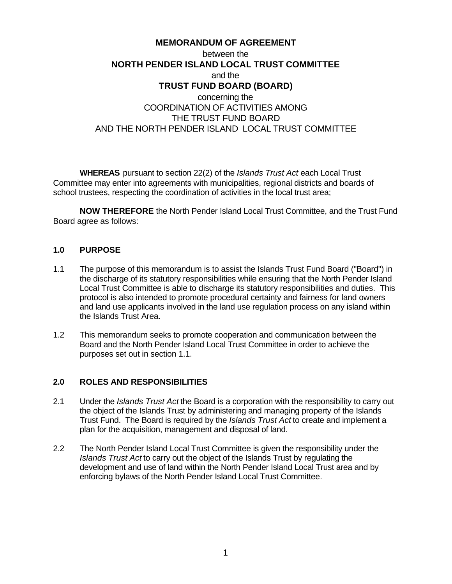# **MEMORANDUM OF AGREEMENT** between the **NORTH PENDER ISLAND LOCAL TRUST COMMITTEE** and the **TRUST FUND BOARD (BOARD)** concerning the COORDINATION OF ACTIVITIES AMONG THE TRUST FUND BOARD AND THE NORTH PENDER ISLAND LOCAL TRUST COMMITTEE

**WHEREAS** pursuant to section 22(2) of the *Islands Trust Act* each Local Trust Committee may enter into agreements with municipalities, regional districts and boards of school trustees, respecting the coordination of activities in the local trust area;

**NOW THEREFORE** the North Pender Island Local Trust Committee, and the Trust Fund Board agree as follows:

#### **1.0 PURPOSE**

- 1.1 The purpose of this memorandum is to assist the Islands Trust Fund Board ("Board") in the discharge of its statutory responsibilities while ensuring that the North Pender Island Local Trust Committee is able to discharge its statutory responsibilities and duties. This protocol is also intended to promote procedural certainty and fairness for land owners and land use applicants involved in the land use regulation process on any island within the Islands Trust Area.
- 1.2 This memorandum seeks to promote cooperation and communication between the Board and the North Pender Island Local Trust Committee in order to achieve the purposes set out in section 1.1.

#### **2.0 ROLES AND RESPONSIBILITIES**

- 2.1 Under the *Islands Trust Act* the Board is a corporation with the responsibility to carry out the object of the Islands Trust by administering and managing property of the Islands Trust Fund. The Board is required by the *Islands Trust Act* to create and implement a plan for the acquisition, management and disposal of land.
- 2.2 The North Pender Island Local Trust Committee is given the responsibility under the *Islands Trust Act* to carry out the object of the Islands Trust by regulating the development and use of land within the North Pender Island Local Trust area and by enforcing bylaws of the North Pender Island Local Trust Committee.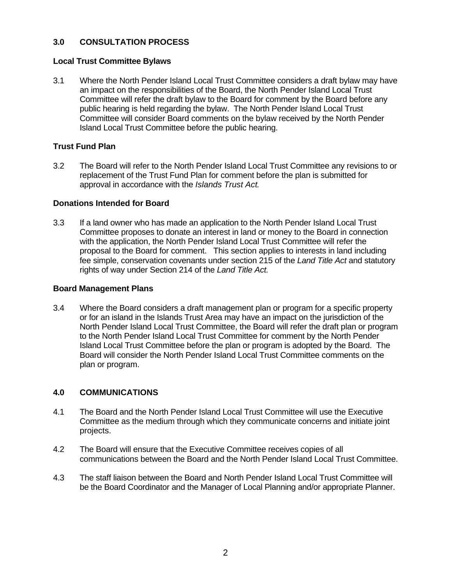### **3.0 CONSULTATION PROCESS**

#### **Local Trust Committee Bylaws**

3.1 Where the North Pender Island Local Trust Committee considers a draft bylaw may have an impact on the responsibilities of the Board, the North Pender Island Local Trust Committee will refer the draft bylaw to the Board for comment by the Board before any public hearing is held regarding the bylaw. The North Pender Island Local Trust Committee will consider Board comments on the bylaw received by the North Pender Island Local Trust Committee before the public hearing.

## **Trust Fund Plan**

3.2 The Board will refer to the North Pender Island Local Trust Committee any revisions to or replacement of the Trust Fund Plan for comment before the plan is submitted for approval in accordance with the *Islands Trust Act*.

#### **Donations Intended for Board**

3.3 If a land owner who has made an application to the North Pender Island Local Trust Committee proposes to donate an interest in land or money to the Board in connection with the application, the North Pender Island Local Trust Committee will refer the proposal to the Board for comment. This section applies to interests in land including fee simple, conservation covenants under section 215 of the *Land Title Act* and statutory rights of way under Section 214 of the *Land Title Act.*

### **Board Management Plans**

3.4 Where the Board considers a draft management plan or program for a specific property or for an island in the Islands Trust Area may have an impact on the jurisdiction of the North Pender Island Local Trust Committee, the Board will refer the draft plan or program to the North Pender Island Local Trust Committee for comment by the North Pender Island Local Trust Committee before the plan or program is adopted by the Board. The Board will consider the North Pender Island Local Trust Committee comments on the plan or program.

#### **4.0 COMMUNICATIONS**

- 4.1 The Board and the North Pender Island Local Trust Committee will use the Executive Committee as the medium through which they communicate concerns and initiate joint projects.
- 4.2 The Board will ensure that the Executive Committee receives copies of all communications between the Board and the North Pender Island Local Trust Committee.
- 4.3 The staff liaison between the Board and North Pender Island Local Trust Committee will be the Board Coordinator and the Manager of Local Planning and/or appropriate Planner.